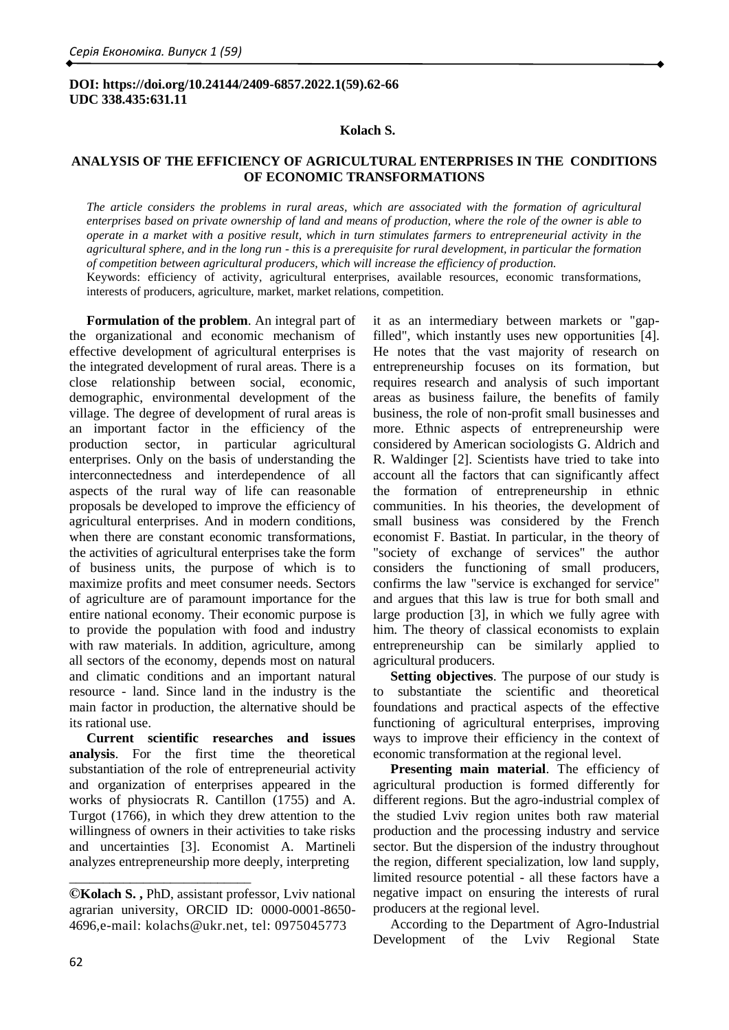## **DOI: https://doi.org/10.24144/2409-6857.2022.1(59).62-66 UDC 338.435:631.11**

#### **Kolach S.**

# **ANALYSIS OF THE EFFICIENCY OF AGRICULTURAL ENTERPRISES IN THE CONDITIONS OF ECONOMIC TRANSFORMATIONS**

*The article considers the problems in rural areas, which are associated with the formation of agricultural enterprises based on private ownership of land and means of production, where the role of the owner is able to operate in a market with a positive result, which in turn stimulates farmers to entrepreneurial activity in the agricultural sphere, and in the long run - this is a prerequisite for rural development, in particular the formation of competition between agricultural producers, which will increase the efficiency of production.* Keywords: efficiency of activity, agricultural enterprises, available resources, economic transformations, interests of producers, agriculture, market, market relations, competition.

**Formulation of the problem**. An integral part of the organizational and economic mechanism of effective development of agricultural enterprises is the integrated development of rural areas. There is a close relationship between social, economic, demographic, environmental development of the village. The degree of development of rural areas is an important factor in the efficiency of the production sector, in particular agricultural enterprises. Only on the basis of understanding the interconnectedness and interdependence of all aspects of the rural way of life can reasonable proposals be developed to improve the efficiency of agricultural enterprises. And in modern conditions, when there are constant economic transformations, the activities of agricultural enterprises take the form of business units, the purpose of which is to maximize profits and meet consumer needs. Sectors of agriculture are of paramount importance for the entire national economy. Their economic purpose is to provide the population with food and industry with raw materials. In addition, agriculture, among all sectors of the economy, depends most on natural and climatic conditions and an important natural resource - land. Since land in the industry is the main factor in production, the alternative should be its rational use.

**Current scientific researches and issues analysis**. For the first time the theoretical substantiation of the role of entrepreneurial activity and organization of enterprises appeared in the works of physiocrats R. Cantillon (1755) and A. Turgot (1766), in which they drew attention to the willingness of owners in their activities to take risks and uncertainties [3]. Economist A. Martineli analyzes entrepreneurship more deeply, interpreting

\_\_\_\_\_\_\_\_\_\_\_\_\_\_\_\_\_\_\_\_\_\_\_\_\_\_\_

it as an intermediary between markets or "gapfilled", which instantly uses new opportunities [4]. He notes that the vast majority of research on entrepreneurship focuses on its formation, but requires research and analysis of such important areas as business failure, the benefits of family business, the role of non-profit small businesses and more. Ethnic aspects of entrepreneurship were considered by American sociologists G. Aldrich and R. Waldinger [2]. Scientists have tried to take into account all the factors that can significantly affect the formation of entrepreneurship in ethnic communities. In his theories, the development of small business was considered by the French economist F. Bastiat. In particular, in the theory of "society of exchange of services" the author considers the functioning of small producers, confirms the law "service is exchanged for service" and argues that this law is true for both small and large production [3], in which we fully agree with him. The theory of classical economists to explain entrepreneurship can be similarly applied to agricultural producers.

**Setting objectives**. The purpose of our study is to substantiate the scientific and theoretical foundations and practical aspects of the effective functioning of agricultural enterprises, improving ways to improve their efficiency in the context of economic transformation at the regional level.

**Presenting main material**. The efficiency of agricultural production is formed differently for different regions. But the agro-industrial complex of the studied Lviv region unites both raw material production and the processing industry and service sector. But the dispersion of the industry throughout the region, different specialization, low land supply, limited resource potential - all these factors have a negative impact on ensuring the interests of rural producers at the regional level.

According to the Department of Agro-Industrial Development of the Lviv Regional State

**<sup>©</sup>Kolach S. ,** PhD, assistant professor, Lviv national agrarian university, ORCID ID: 0000-0001-8650- 4696,e-mail: [kolachs@ukr.net,](mailto:kolachs@ukr.net) tel: 0975045773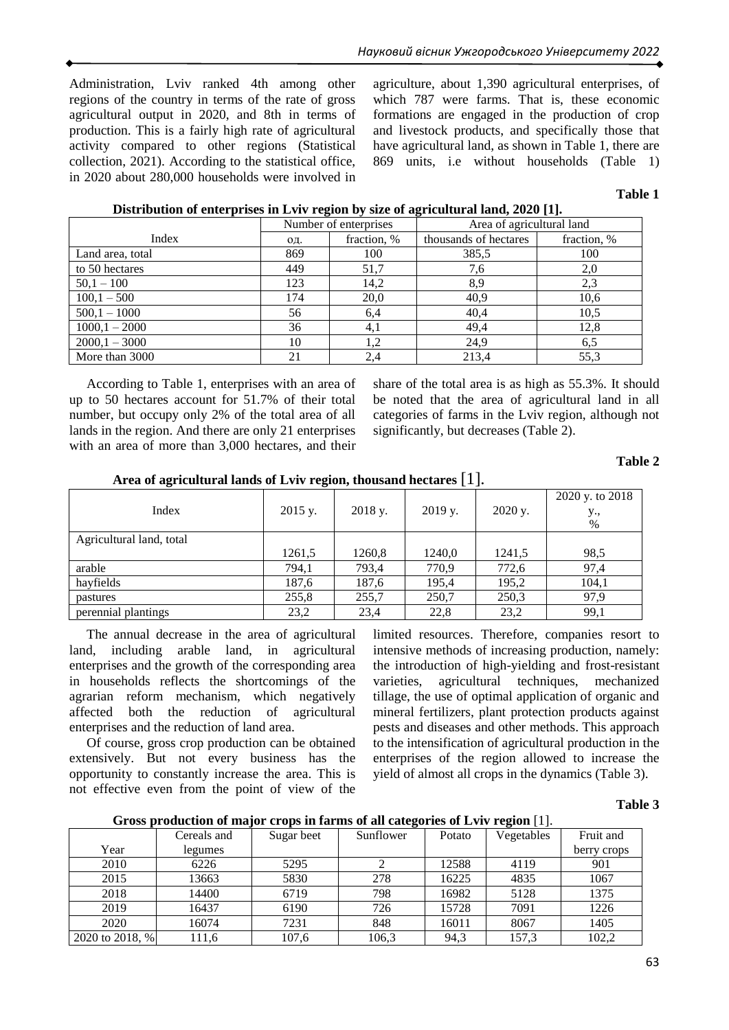Administration, Lviv ranked 4th among other regions of the country in terms of the rate of gross agricultural output in 2020, and 8th in terms of production. This is a fairly high rate of agricultural activity compared to other regions (Statistical collection, 2021). According to the statistical office, in 2020 about 280,000 households were involved in

agriculture, about 1,390 agricultural enterprises, of which 787 were farms. That is, these economic formations are engaged in the production of crop and livestock products, and specifically those that have agricultural land, as shown in Table 1, there are 869 units, i.e without households (Table 1)

# **Table 1**

|                  | Number of enterprises |             | Area of agricultural land |             |  |
|------------------|-----------------------|-------------|---------------------------|-------------|--|
| Index            | ΟД.                   | fraction, % | thousands of hectares     | fraction, % |  |
| Land area, total | 869                   | 100         | 385,5                     | 100         |  |
| to 50 hectares   | 449                   | 51,7        | 7,6                       | 2,0         |  |
| $50,1 - 100$     | 123                   | 14,2        | 8,9                       | 2,3         |  |
| $100,1 - 500$    | 174                   | 20,0        | 40,9                      | 10,6        |  |
| $500,1 - 1000$   | 56                    | 6,4         | 40,4                      | 10,5        |  |
| $1000,1 - 2000$  | 36                    | 4,1         | 49,4                      | 12,8        |  |
| $2000,1 - 3000$  | 10                    | 1.2         | 24,9                      | 6,5         |  |
| More than 3000   | 21                    | 2,4         | 213,4                     | 55,3        |  |

According to Table 1, enterprises with an area of up to 50 hectares account for 51.7% of their total number, but occupy only 2% of the total area of all lands in the region. And there are only 21 enterprises with an area of more than 3,000 hectares, and their

share of the total area is as high as 55.3%. It should be noted that the area of agricultural land in all categories of farms in the Lviv region, although not significantly, but decreases (Table 2).

**Table 2**

| THE CO OF MELLUMENT OF INTERS OF EACH AND MONETARY HUCKEY OF THE IN |           |         |           |         |                             |  |  |  |
|---------------------------------------------------------------------|-----------|---------|-----------|---------|-----------------------------|--|--|--|
| Index                                                               | $2015$ y. | 2018 y. | $2019$ y. | 2020 y. | 2020 y. to 2018<br>y.,<br>% |  |  |  |
| Agricultural land, total                                            |           |         |           |         |                             |  |  |  |
|                                                                     | 1261,5    | 1260,8  | 1240,0    | 1241,5  | 98,5                        |  |  |  |
| arable                                                              | 794.1     | 793.4   | 770.9     | 772,6   | 97,4                        |  |  |  |
| hayfields                                                           | 187.6     | 187,6   | 195.4     | 195,2   | 104,1                       |  |  |  |
| pastures                                                            | 255,8     | 255,7   | 250,7     | 250,3   | 97.9                        |  |  |  |
| perennial plantings                                                 | 23,2      | 23,4    | 22,8      | 23,2    | 99,1                        |  |  |  |

**Area of agricultural lands of Lviv region, thousand hectares** [1].

The annual decrease in the area of agricultural land, including arable land, in agricultural enterprises and the growth of the corresponding area in households reflects the shortcomings of the agrarian reform mechanism, which negatively affected both the reduction of agricultural enterprises and the reduction of land area.

Of course, gross crop production can be obtained extensively. But not every business has the opportunity to constantly increase the area. This is not effective even from the point of view of the limited resources. Therefore, companies resort to intensive methods of increasing production, namely: the introduction of high-yielding and frost-resistant varieties, agricultural techniques, mechanized tillage, the use of optimal application of organic and mineral fertilizers, plant protection products against pests and diseases and other methods. This approach to the intensification of agricultural production in the enterprises of the region allowed to increase the yield of almost all crops in the dynamics (Table 3).

# **Table 3**

| Gross production of major crops in farms of all categories of Lviv region [1]. |  |  |
|--------------------------------------------------------------------------------|--|--|
|                                                                                |  |  |

|                 | Cereals and | Sugar beet | Sunflower | Potato | Vegetables | Fruit and   |
|-----------------|-------------|------------|-----------|--------|------------|-------------|
| Year            | legumes     |            |           |        |            | berry crops |
| 2010            | 6226        | 5295       |           | 12588  | 4119       | 901         |
| 2015            | 13663       | 5830       | 278       | 16225  | 4835       | 1067        |
| 2018            | 14400       | 6719       | 798       | 16982  | 5128       | 1375        |
| 2019            | 16437       | 6190       | 726       | 15728  | 7091       | 1226        |
| 2020            | 16074       | 7231       | 848       | 16011  | 8067       | 1405        |
| 2020 to 2018, % | 111,6       | 107,6      | 106,3     | 94,3   | 157,3      | 102,2       |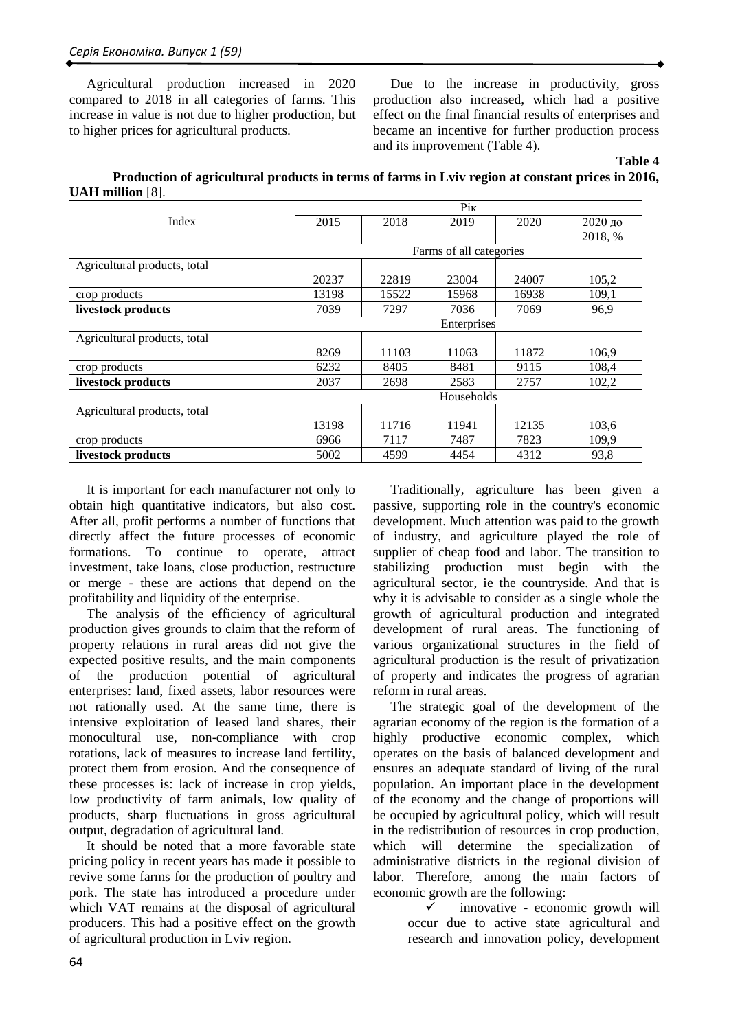Agricultural production increased in 2020 compared to 2018 in all categories of farms. This increase in value is not due to higher production, but to higher prices for agricultural products.

Due to the increase in productivity, gross production also increased, which had a positive effect on the final financial results of enterprises and became an incentive for further production process and its improvement (Table 4).

**Table 4** 

| Production of agricultural products in terms of farms in Lyiv region at constant prices in 2016, |  |  |  |
|--------------------------------------------------------------------------------------------------|--|--|--|
| <b>UAH</b> million $[8]$ .                                                                       |  |  |  |

|                              | Pik         |       |                         |       |         |  |  |
|------------------------------|-------------|-------|-------------------------|-------|---------|--|--|
| Index                        | 2015        | 2018  | 2019                    | 2020  | 2020 до |  |  |
|                              |             |       |                         |       | 2018, % |  |  |
|                              |             |       | Farms of all categories |       |         |  |  |
| Agricultural products, total |             |       |                         |       |         |  |  |
|                              | 20237       | 22819 | 23004                   | 24007 | 105,2   |  |  |
| crop products                | 13198       | 15522 | 15968                   | 16938 | 109,1   |  |  |
| livestock products           | 7039        | 7297  | 7036                    | 7069  | 96,9    |  |  |
|                              | Enterprises |       |                         |       |         |  |  |
| Agricultural products, total |             |       |                         |       |         |  |  |
|                              | 8269        | 11103 | 11063                   | 11872 | 106,9   |  |  |
| crop products                | 6232        | 8405  | 8481                    | 9115  | 108,4   |  |  |
| livestock products           | 2037        | 2698  | 2583                    | 2757  | 102,2   |  |  |
|                              | Households  |       |                         |       |         |  |  |
| Agricultural products, total |             |       |                         |       |         |  |  |
|                              | 13198       | 11716 | 11941                   | 12135 | 103,6   |  |  |
| crop products                | 6966        | 7117  | 7487                    | 7823  | 109,9   |  |  |
| livestock products           | 5002        | 4599  | 4454                    | 4312  | 93,8    |  |  |

It is important for each manufacturer not only to obtain high quantitative indicators, but also cost. After all, profit performs a number of functions that directly affect the future processes of economic formations. To continue to operate, attract investment, take loans, close production, restructure or merge - these are actions that depend on the profitability and liquidity of the enterprise.

The analysis of the efficiency of agricultural production gives grounds to claim that the reform of property relations in rural areas did not give the expected positive results, and the main components the production potential of agricultural enterprises: land, fixed assets, labor resources were not rationally used. At the same time, there is intensive exploitation of leased land shares, their monocultural use, non-compliance with crop rotations, lack of measures to increase land fertility, protect them from erosion. And the consequence of these processes is: lack of increase in crop yields, low productivity of farm animals, low quality of products, sharp fluctuations in gross agricultural output, degradation of agricultural land.

It should be noted that a more favorable state pricing policy in recent years has made it possible to revive some farms for the production of poultry and pork. The state has introduced a procedure under which VAT remains at the disposal of agricultural producers. This had a positive effect on the growth of agricultural production in Lviv region.

Traditionally, agriculture has been given a passive, supporting role in the country's economic development. Much attention was paid to the growth of industry, and agriculture played the role of supplier of cheap food and labor. The transition to stabilizing production must begin with the agricultural sector, ie the countryside. And that is why it is advisable to consider as a single whole the growth of agricultural production and integrated development of rural areas. The functioning of various organizational structures in the field of agricultural production is the result of privatization of property and indicates the progress of agrarian reform in rural areas.

The strategic goal of the development of the agrarian economy of the region is the formation of a highly productive economic complex, which operates on the basis of balanced development and ensures an adequate standard of living of the rural population. An important place in the development of the economy and the change of proportions will be occupied by agricultural policy, which will result in the redistribution of resources in crop production, which will determine the specialization of administrative districts in the regional division of labor. Therefore, among the main factors of economic growth are the following:

> innovative - economic growth will occur due to active state agricultural and research and innovation policy, development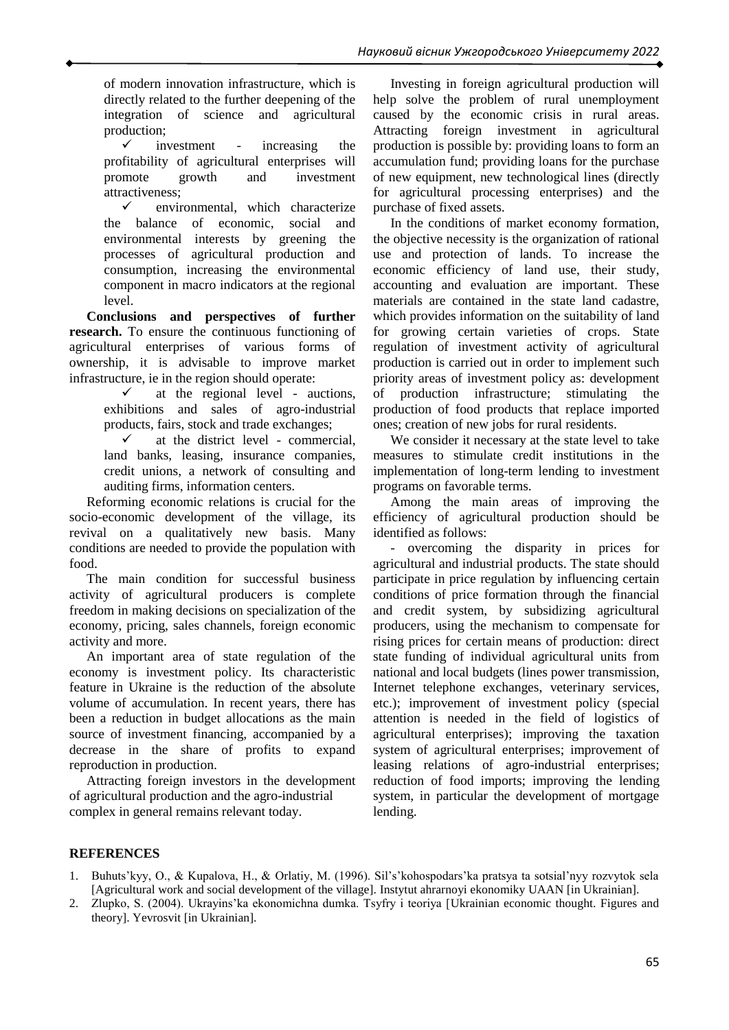of modern innovation infrastructure, which is directly related to the further deepening of the integration of science and agricultural production;

 $\checkmark$  investment - increasing the profitability of agricultural enterprises will promote growth and investment attractiveness;

 $\checkmark$  environmental, which characterize the balance of economic, social and environmental interests by greening the processes of agricultural production and consumption, increasing the environmental component in macro indicators at the regional level.

**Conclusions and perspectives of further research.** To ensure the continuous functioning of agricultural enterprises of various forms of ownership, it is advisable to improve market infrastructure, ie in the region should operate:

> $\checkmark$  at the regional level - auctions, exhibitions and sales of agro-industrial products, fairs, stock and trade exchanges;

> $\checkmark$  at the district level - commercial, land banks, leasing, insurance companies, credit unions, a network of consulting and auditing firms, information centers.

Reforming economic relations is crucial for the socio-economic development of the village, its revival on a qualitatively new basis. Many conditions are needed to provide the population with food.

The main condition for successful business activity of agricultural producers is complete freedom in making decisions on specialization of the economy, pricing, sales channels, foreign economic activity and more.

An important area of state regulation of the economy is investment policy. Its characteristic feature in Ukraine is the reduction of the absolute volume of accumulation. In recent years, there has been a reduction in budget allocations as the main source of investment financing, accompanied by a decrease in the share of profits to expand reproduction in production.

Attracting foreign investors in the development of agricultural production and the agro-industrial complex in general remains relevant today.

Investing in foreign agricultural production will help solve the problem of rural unemployment caused by the economic crisis in rural areas. Attracting foreign investment in agricultural production is possible by: providing loans to form an accumulation fund; providing loans for the purchase of new equipment, new technological lines (directly for agricultural processing enterprises) and the purchase of fixed assets.

In the conditions of market economy formation, the objective necessity is the organization of rational use and protection of lands. To increase the economic efficiency of land use, their study, accounting and evaluation are important. These materials are contained in the state land cadastre, which provides information on the suitability of land for growing certain varieties of crops. State regulation of investment activity of agricultural production is carried out in order to implement such priority areas of investment policy as: development of production infrastructure; stimulating the production of food products that replace imported ones; creation of new jobs for rural residents.

We consider it necessary at the state level to take measures to stimulate credit institutions in the implementation of long-term lending to investment programs on favorable terms.

Among the main areas of improving the efficiency of agricultural production should be identified as follows:

- overcoming the disparity in prices for agricultural and industrial products. The state should participate in price regulation by influencing certain conditions of price formation through the financial and credit system, by subsidizing agricultural producers, using the mechanism to compensate for rising prices for certain means of production: direct state funding of individual agricultural units from national and local budgets (lines power transmission, Internet telephone exchanges, veterinary services, etc.); improvement of investment policy (special attention is needed in the field of logistics of agricultural enterprises); improving the taxation system of agricultural enterprises; improvement of leasing relations of agro-industrial enterprises; reduction of food imports; improving the lending system, in particular the development of mortgage lending.

# **REFERENCES**

- 1. Buhuts'kyy, O., & Kupalova, H., & Orlatiy, M. (1996). Sil's'kohospodars'ka pratsya ta sotsial'nyy rozvytok sela [Agricultural work and social development of the village]. Instytut ahrarnoyi ekonomiky UAAN [in Ukrainian].
- 2. Zlupko, S. (2004). Ukrayins'ka ekonomichna dumka. Tsyfry i teoriya [Ukrainian economic thought. Figures and theory]. Yevrosvit [in Ukrainian].